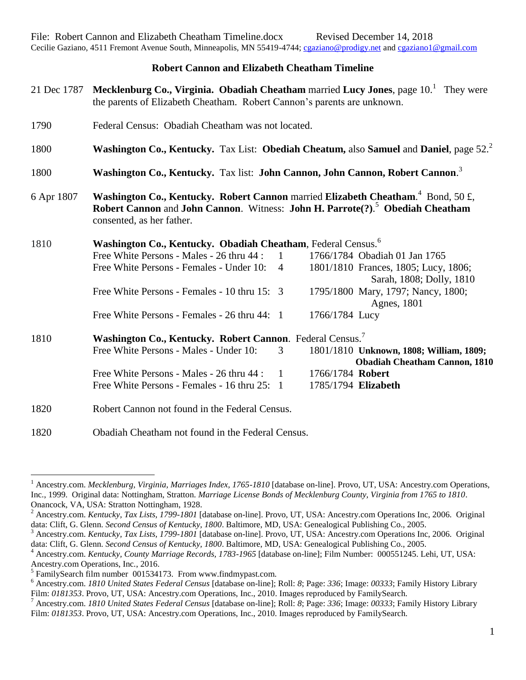## **Robert Cannon and Elizabeth Cheatham Timeline**

| 21 Dec 1787 | Mecklenburg Co., Virginia. Obadiah Cheatham married Lucy Jones, page 10. <sup>1</sup> They were<br>the parents of Elizabeth Cheatham. Robert Cannon's parents are unknown.                                             |                |                                                                                 |  |  |  |  |
|-------------|------------------------------------------------------------------------------------------------------------------------------------------------------------------------------------------------------------------------|----------------|---------------------------------------------------------------------------------|--|--|--|--|
| 1790        | Federal Census: Obadiah Cheatham was not located.                                                                                                                                                                      |                |                                                                                 |  |  |  |  |
| 1800        | Washington Co., Kentucky. Tax List: Obediah Cheatum, also Samuel and Daniel, page 52. <sup>2</sup>                                                                                                                     |                |                                                                                 |  |  |  |  |
| 1800        | Washington Co., Kentucky. Tax list: John Cannon, John Cannon, Robert Cannon. <sup>3</sup>                                                                                                                              |                |                                                                                 |  |  |  |  |
| 6 Apr 1807  | Washington Co., Kentucky. Robert Cannon married Elizabeth Cheatham. <sup>4</sup> Bond, 50 £,<br>Robert Cannon and John Cannon. Witness: John H. Parrote(?). <sup>5</sup> Obediah Cheatham<br>consented, as her father. |                |                                                                                 |  |  |  |  |
| 1810        | Washington Co., Kentucky. Obadiah Cheatham, Federal Census. <sup>6</sup>                                                                                                                                               |                |                                                                                 |  |  |  |  |
|             | Free White Persons - Males - 26 thru 44 :                                                                                                                                                                              | $\mathbf{1}$   | 1766/1784 Obadiah 01 Jan 1765                                                   |  |  |  |  |
|             | Free White Persons - Females - Under 10:                                                                                                                                                                               | $\overline{4}$ | 1801/1810 Frances, 1805; Lucy, 1806;<br>Sarah, 1808; Dolly, 1810                |  |  |  |  |
|             | Free White Persons - Females - 10 thru 15: 3                                                                                                                                                                           |                | 1795/1800 Mary, 1797; Nancy, 1800;<br>Agnes, 1801                               |  |  |  |  |
|             | Free White Persons - Females - 26 thru 44: 1                                                                                                                                                                           |                | 1766/1784 Lucy                                                                  |  |  |  |  |
| 1810        | Washington Co., Kentucky. Robert Cannon. Federal Census. <sup>7</sup>                                                                                                                                                  |                |                                                                                 |  |  |  |  |
|             | Free White Persons - Males - Under 10:                                                                                                                                                                                 | 3              | 1801/1810 Unknown, 1808; William, 1809;<br><b>Obadiah Cheatham Cannon, 1810</b> |  |  |  |  |
|             | Free White Persons - Males - 26 thru 44 :                                                                                                                                                                              | $\mathbf{1}$   | 1766/1784 Robert                                                                |  |  |  |  |
|             | Free White Persons - Females - 16 thru 25: 1                                                                                                                                                                           |                | 1785/1794 Elizabeth                                                             |  |  |  |  |
| 1820        | Robert Cannon not found in the Federal Census.                                                                                                                                                                         |                |                                                                                 |  |  |  |  |
| 1820        | Obadiah Cheatham not found in the Federal Census.                                                                                                                                                                      |                |                                                                                 |  |  |  |  |

 $\overline{a}$ 

<sup>1</sup> Ancestry.com. *Mecklenburg, Virginia, Marriages Index, 1765-1810* [database on-line]. Provo, UT, USA: Ancestry.com Operations, Inc., 1999. Original data: Nottingham, Stratton. *Marriage License Bonds of Mecklenburg County, Virginia from 1765 to 1810*. Onancock, VA, USA: Stratton Nottingham, 1928.

<sup>2</sup> Ancestry.com. *Kentucky, Tax Lists, 1799-1801* [database on-line]. Provo, UT, USA: Ancestry.com Operations Inc, 2006. Original data: Clift, G. Glenn. *Second Census of Kentucky, 1800*. Baltimore, MD, USA: Genealogical Publishing Co., 2005.

<sup>3</sup> Ancestry.com. *Kentucky, Tax Lists, 1799-1801* [database on-line]. Provo, UT, USA: Ancestry.com Operations Inc, 2006. Original data: Clift, G. Glenn. *Second Census of Kentucky, 1800*. Baltimore, MD, USA: Genealogical Publishing Co., 2005.

<sup>4</sup> Ancestry.com. *Kentucky, County Marriage Records, 1783-1965* [database on-line]; Film Number: 000551245. Lehi, UT, USA: Ancestry.com Operations, Inc., 2016.

 $<sup>5</sup>$  FamilySearch film number 001534173. From www.findmypast.com.</sup>

<sup>6</sup> Ancestry.com. *1810 United States Federal Census* [database on-line]; Roll: *8*; Page: *336*; Image: *00333*; Family History Library Film: *0181353*. Provo, UT, USA: Ancestry.com Operations, Inc., 2010. Images reproduced by FamilySearch.

<sup>7</sup> Ancestry.com. *1810 United States Federal Census* [database on-line]; Roll: *8*; Page: *336*; Image: *00333*; Family History Library Film: 0181353. Provo, UT, USA: Ancestry.com Operations, Inc., 2010. Images reproduced by FamilySearch.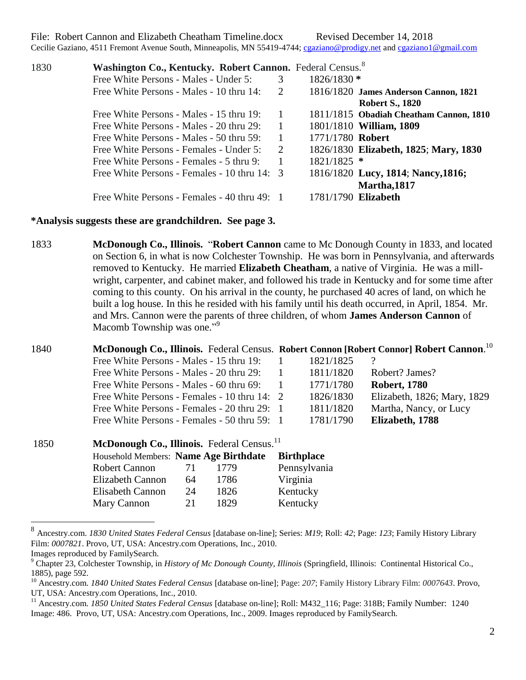File: Robert Cannon and Elizabeth Cheatham Timeline.docx Revised December 14, 2018

Cecilie Gaziano, 4511 Fremont Avenue South, Minneapolis, MN 55419-4744; [cgaziano@prodigy.net](mailto:cgaziano@prodigy.net) and [cgaziano1@gmail.com](mailto:cgaziano1@gmail.com)

| 1830 | Washington Co., Kentucky. Robert Cannon. Federal Census. <sup>8</sup> |                |                     |                                         |
|------|-----------------------------------------------------------------------|----------------|---------------------|-----------------------------------------|
|      | Free White Persons - Males - Under 5:                                 | 3              | $1826/1830$ *       |                                         |
|      | Free White Persons - Males - 10 thru 14:                              | 2              |                     | 1816/1820 James Anderson Cannon, 1821   |
|      |                                                                       |                |                     | <b>Robert S., 1820</b>                  |
|      | Free White Persons - Males - 15 thru 19:                              |                |                     | 1811/1815 Obadiah Cheatham Cannon, 1810 |
|      | Free White Persons - Males - 20 thru 29:                              | $\overline{1}$ |                     | 1801/1810 William, 1809                 |
|      | Free White Persons - Males - 50 thru 59:                              |                | 1771/1780 Robert    |                                         |
|      | Free White Persons - Females - Under 5:                               | $\mathcal{L}$  |                     | 1826/1830 Elizabeth, 1825; Mary, 1830   |
|      | Free White Persons - Females - 5 thru 9:                              | $\overline{1}$ | 1821/1825 *         |                                         |
|      | Free White Persons - Females - 10 thru 14: 3                          |                |                     | 1816/1820 Lucy, 1814; Nancy, 1816;      |
|      |                                                                       |                |                     | Martha, 1817                            |
|      | Free White Persons - Females - 40 thru 49: 1                          |                | 1781/1790 Elizabeth |                                         |

## **\*Analysis suggests these are grandchildren. See page 3.**

1833 **McDonough Co., Illinois.** "**Robert Cannon** came to Mc Donough County in 1833, and located on Section 6, in what is now Colchester Township. He was born in Pennsylvania, and afterwards removed to Kentucky. He married **Elizabeth Cheatham**, a native of Virginia. He was a millwright, carpenter, and cabinet maker, and followed his trade in Kentucky and for some time after coming to this county. On his arrival in the county, he purchased 40 acres of land, on which he built a log house. In this he resided with his family until his death occurred, in April, 1854. Mr. and Mrs. Cannon were the parents of three children, of whom **James Anderson Cannon** of Macomb Township was one."<sup>9</sup>

## 1840 **McDonough Co., Illinois.** Federal Census. **Robert Connon [Robert Connor] Robert Cannon**. 10

| Free White Persons - Males - 15 thru 19:     | 1821/1825 |                             |
|----------------------------------------------|-----------|-----------------------------|
| Free White Persons - Males - 20 thru 29:     | 1811/1820 | Robert? James?              |
| Free White Persons - Males - 60 thru 69:     | 1771/1780 | <b>Robert, 1780</b>         |
| Free White Persons - Females - 10 thru 14: 2 | 1826/1830 | Elizabeth, 1826; Mary, 1829 |
| Free White Persons - Females - 20 thru 29: 1 | 1811/1820 | Martha, Nancy, or Lucy      |
| Free White Persons - Females - 50 thru 59: 1 | 1781/1790 | Elizabeth, 1788             |

| 1850 | McDonough Co., Illinois. Federal Census. <sup>11</sup> |    |      |                   |  |  |  |
|------|--------------------------------------------------------|----|------|-------------------|--|--|--|
|      | Household Members: Name Age Birthdate                  |    |      | <b>Birthplace</b> |  |  |  |
|      | <b>Robert Cannon</b>                                   | 71 | 1779 | Pennsylvania      |  |  |  |
|      | Elizabeth Cannon                                       | 64 | 1786 | Virginia          |  |  |  |
|      | <b>Elisabeth Cannon</b>                                | 24 | 1826 | Kentucky          |  |  |  |
|      | Mary Cannon                                            | 21 | 1829 | Kentucky          |  |  |  |

 8 Ancestry.com. *1830 United States Federal Census* [database on-line]; Series: *M19*; Roll: *42*; Page: *123*; Family History Library Film: *0007821*. Provo, UT, USA: Ancestry.com Operations, Inc., 2010.

Images reproduced by FamilySearch.

<sup>9</sup> Chapter 23, Colchester Township, in *History of Mc Donough County, Illinois* (Springfield, Illinois: Continental Historical Co., 1885), page 592.

<sup>10</sup> Ancestry.com. *1840 United States Federal Census* [database on-line]; Page: *207*; Family History Library Film: *0007643*. Provo, UT, USA: Ancestry.com Operations, Inc., 2010.

<sup>11</sup> Ancestry.com. *1850 United States Federal Census* [database on-line]; Roll: M432\_116; Page: 318B; Family Number: 1240 Image: 486. Provo, UT, USA: Ancestry.com Operations, Inc., 2009. Images reproduced by FamilySearch.